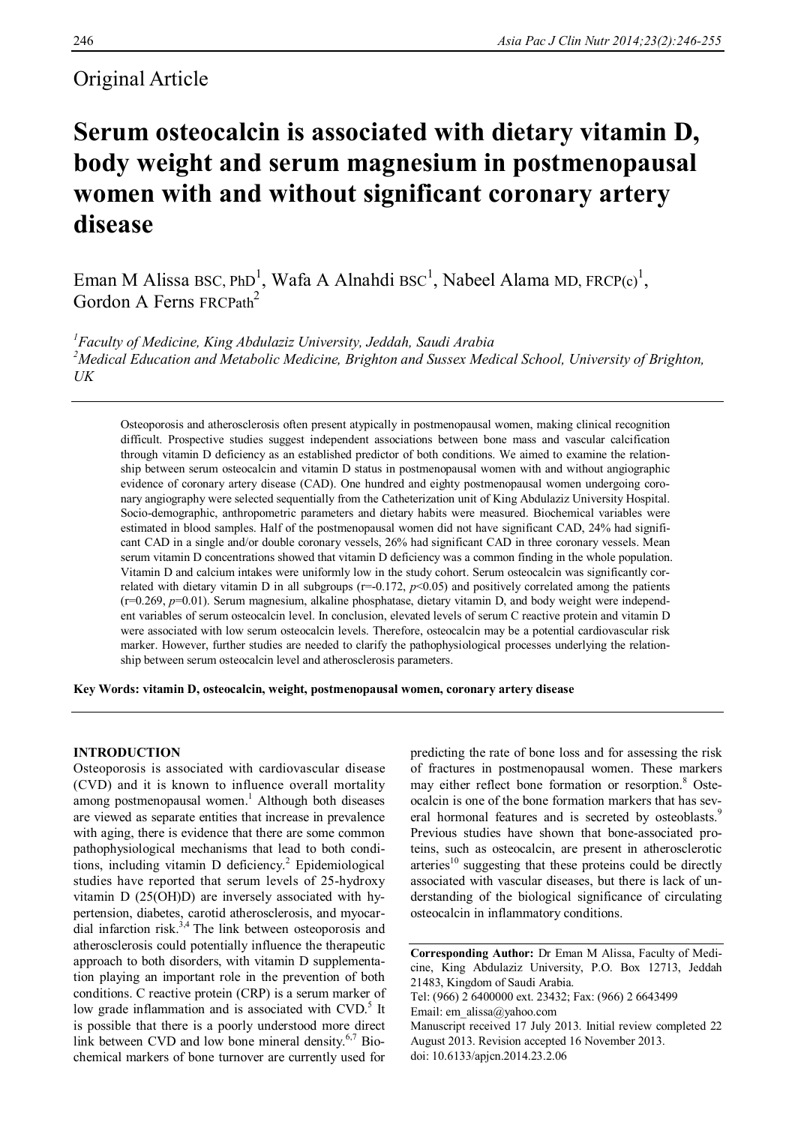# Original Article

# **Serum osteocalcin is associated with dietary vitamin D, body weight and serum magnesium in postmenopausal women with and without significant coronary artery disease**

Eman M Alissa BSC, PhD<sup>1</sup>, Wafa A Alnahdi BSC<sup>1</sup>, Nabeel Alama MD, FRCP(c)<sup>1</sup>, Gordon A Ferns FRCPath<sup>2</sup>

*<sup>1</sup>Faculty of Medicine, King Abdulaziz University, Jeddah, Saudi Arabia <sup>2</sup>Medical Education and Metabolic Medicine, Brighton and Sussex Medical School, University of Brighton, UK*

Osteoporosis and atherosclerosis often present atypically in postmenopausal women, making clinical recognition difficult. Prospective studies suggest independent associations between bone mass and vascular calcification through vitamin D deficiency as an established predictor of both conditions. We aimed to examine the relationship between serum osteocalcin and vitamin D status in postmenopausal women with and without angiographic evidence of coronary artery disease (CAD). One hundred and eighty postmenopausal women undergoing coronary angiography were selected sequentially from the Catheterization unit of King Abdulaziz University Hospital. Socio-demographic, anthropometric parameters and dietary habits were measured. Biochemical variables were estimated in blood samples. Half of the postmenopausal women did not have significant CAD, 24% had significant CAD in a single and/or double coronary vessels, 26% had significant CAD in three coronary vessels. Mean serum vitamin D concentrations showed that vitamin D deficiency was a common finding in the whole population. Vitamin D and calcium intakes were uniformly low in the study cohort. Serum osteocalcin was significantly correlated with dietary vitamin D in all subgroups  $(r=-0.172, p<0.05)$  and positively correlated among the patients (r=0.269, *p*=0.01). Serum magnesium, alkaline phosphatase, dietary vitamin D, and body weight were independent variables of serum osteocalcin level. In conclusion, elevated levels of serum C reactive protein and vitamin D were associated with low serum osteocalcin levels. Therefore, osteocalcin may be a potential cardiovascular risk marker. However, further studies are needed to clarify the pathophysiological processes underlying the relationship between serum osteocalcin level and atherosclerosis parameters.

**Key Words: vitamin D, osteocalcin, weight, postmenopausal women, coronary artery disease**

## **INTRODUCTION**

Osteoporosis is associated with cardiovascular disease (CVD) and it is known to influence overall mortality among postmenopausal women. <sup>1</sup> Although both diseases are viewed as separate entities that increase in prevalence with aging, there is evidence that there are some common pathophysiological mechanisms that lead to both conditions, including vitamin D deficiency. <sup>2</sup> Epidemiological studies have reported that serum levels of 25-hydroxy vitamin D (25(OH)D) are inversely associated with hypertension, diabetes, carotid atherosclerosis, and myocardial infarction risk.<sup>3,4</sup> The link between osteoporosis and atherosclerosis could potentially influence the therapeutic approach to both disorders, with vitamin D supplementation playing an important role in the prevention of both conditions. C reactive protein (CRP) is a serum marker of low grade inflammation and is associated with CVD.<sup>5</sup> It is possible that there is a poorly understood more direct link between CVD and low bone mineral density.<sup>6,7</sup> Biochemical markers of bone turnover are currently used for predicting the rate of bone loss and for assessing the risk of fractures in postmenopausal women. These markers may either reflect bone formation or resorption. <sup>8</sup> Osteocalcin is one of the bone formation markers that has several hormonal features and is secreted by osteoblasts.<sup>9</sup> Previous studies have shown that bone-associated proteins, such as osteocalcin, are present in atherosclerotic arteries<sup>10</sup> suggesting that these proteins could be directly associated with vascular diseases, but there is lack of understanding of the biological significance of circulating osteocalcin in inflammatory conditions.

**Corresponding Author:** Dr Eman M Alissa, Faculty of Medicine, King Abdulaziz University, P.O. Box 12713, Jeddah 21483, Kingdom of Saudi Arabia. Tel: (966) 2 6400000 ext. 23432; Fax: (966) 2 6643499 Email: em\_alissa@yahoo.com Manuscript received 17 July 2013. Initial review completed 22 August 2013. Revision accepted 16 November 2013. doi: 10.6133/apjcn.2014.23.2.06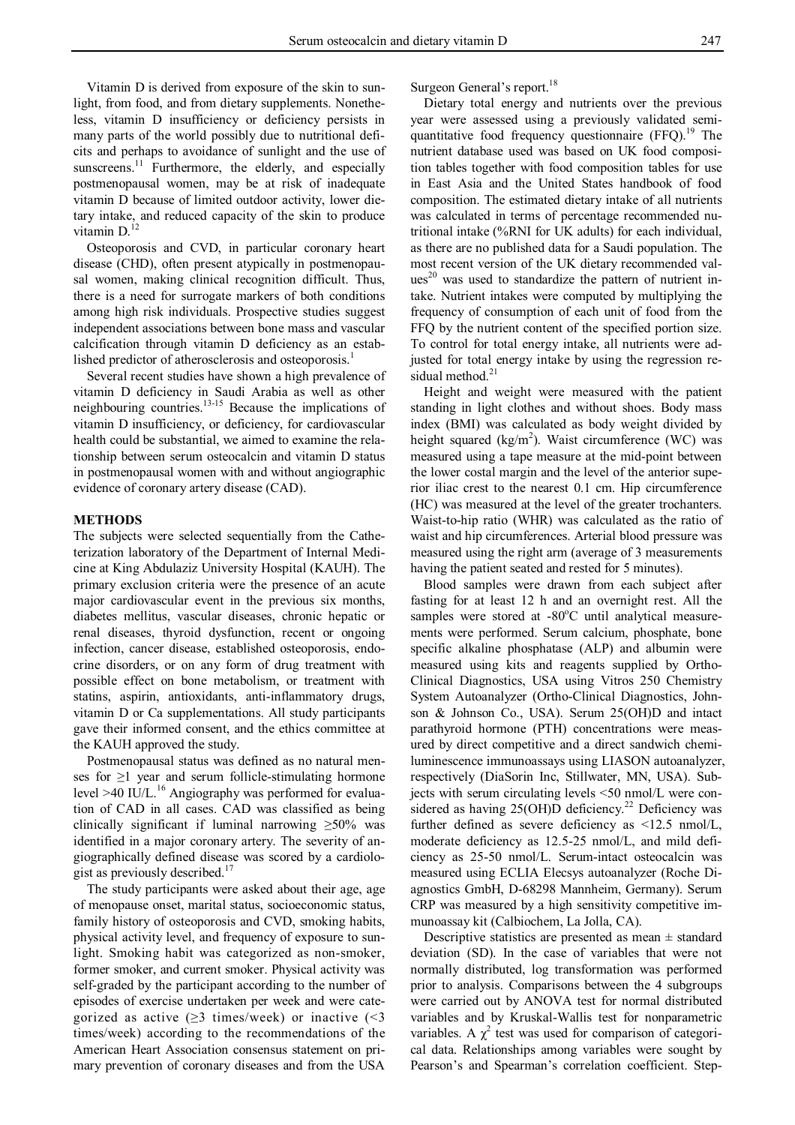Vitamin D is derived from exposure of the skin to sunlight, from food, and from dietary supplements. Nonetheless, vitamin D insufficiency or deficiency persists in many parts of the world possibly due to nutritional deficits and perhaps to avoidance of sunlight and the use of sunscreens.<sup>11</sup> Furthermore, the elderly, and especially postmenopausal women, may be at risk of inadequate vitamin D because of limited outdoor activity, lower dietary intake, and reduced capacity of the skin to produce vitamin D.<sup>12</sup>

Osteoporosis and CVD, in particular coronary heart disease (CHD), often present atypically in postmenopausal women, making clinical recognition difficult. Thus, there is a need for surrogate markers of both conditions among high risk individuals. Prospective studies suggest independent associations between bone mass and vascular calcification through vitamin D deficiency as an established predictor of atherosclerosis and osteoporosis.<sup>1</sup>

Several recent studies have shown a high prevalence of vitamin D deficiency in Saudi Arabia as well as other neighbouring countries.<sup>13-15</sup> Because the implications of vitamin D insufficiency, or deficiency, for cardiovascular health could be substantial, we aimed to examine the relationship between serum osteocalcin and vitamin D status in postmenopausal women with and without angiographic evidence of coronary artery disease (CAD).

#### **METHODS**

The subjects were selected sequentially from the Catheterization laboratory of the Department of Internal Medicine at King Abdulaziz University Hospital (KAUH). The primary exclusion criteria were the presence of an acute major cardiovascular event in the previous six months, diabetes mellitus, vascular diseases, chronic hepatic or renal diseases, thyroid dysfunction, recent or ongoing infection, cancer disease, established osteoporosis, endocrine disorders, or on any form of drug treatment with possible effect on bone metabolism, or treatment with statins, aspirin, antioxidants, anti-inflammatory drugs, vitamin D or Ca supplementations. All study participants gave their informed consent, and the ethics committee at the KAUH approved the study.

Postmenopausal status was defined as no natural menses for ≥1 year and serum follicle-stimulating hormone level >40 IU/L.<sup>16</sup> Angiography was performed for evaluation of CAD in all cases. CAD was classified as being clinically significant if luminal narrowing  $\geq 50\%$  was identified in a major coronary artery. The severity of angiographically defined disease was scored by a cardiologist as previously described.<sup>17</sup>

The study participants were asked about their age, age of menopause onset, marital status, socioeconomic status, family history of osteoporosis and CVD, smoking habits, physical activity level, and frequency of exposure to sunlight. Smoking habit was categorized as non-smoker, former smoker, and current smoker. Physical activity was self-graded by the participant according to the number of episodes of exercise undertaken per week and were categorized as active ( $\geq$ 3 times/week) or inactive (<3 times/week) according to the recommendations of the American Heart Association consensus statement on primary prevention of coronary diseases and from the USA

Surgeon General's report.<sup>18</sup>

Dietary total energy and nutrients over the previous year were assessed using a previously validated semiquantitative food frequency questionnaire (FFQ).<sup>19</sup> The nutrient database used was based on UK food composition tables together with food composition tables for use in East Asia and the United States handbook of food composition. The estimated dietary intake of all nutrients was calculated in terms of percentage recommended nutritional intake (%RNI for UK adults) for each individual, as there are no published data for a Saudi population. The most recent version of the UK dietary recommended values<sup>20</sup> was used to standardize the pattern of nutrient intake. Nutrient intakes were computed by multiplying the frequency of consumption of each unit of food from the FFQ by the nutrient content of the specified portion size. To control for total energy intake, all nutrients were adjusted for total energy intake by using the regression residual method. 21

Height and weight were measured with the patient standing in light clothes and without shoes. Body mass index (BMI) was calculated as body weight divided by height squared  $(kg/m<sup>2</sup>)$ . Waist circumference (WC) was measured using a tape measure at the mid-point between the lower costal margin and the level of the anterior superior iliac crest to the nearest 0.1 cm. Hip circumference (HC) was measured at the level of the greater trochanters. Waist-to-hip ratio (WHR) was calculated as the ratio of waist and hip circumferences. Arterial blood pressure was measured using the right arm (average of 3 measurements having the patient seated and rested for 5 minutes).

Blood samples were drawn from each subject after fasting for at least 12 h and an overnight rest. All the samples were stored at -80°C until analytical measurements were performed. Serum calcium, phosphate, bone specific alkaline phosphatase (ALP) and albumin were measured using kits and reagents supplied by Ortho-Clinical Diagnostics, USA using Vitros 250 Chemistry System Autoanalyzer (Ortho-Clinical Diagnostics, Johnson & Johnson Co., USA). Serum 25(OH)D and intact parathyroid hormone (PTH) concentrations were measured by direct competitive and a direct sandwich chemiluminescence immunoassays using LIASON autoanalyzer, respectively (DiaSorin Inc, Stillwater, MN, USA). Subjects with serum circulating levels <50 nmol/L were considered as having 25(OH)D deficiency.<sup>22</sup> Deficiency was further defined as severe deficiency as <12.5 nmol/L, moderate deficiency as 12.5-25 nmol/L, and mild deficiency as 25-50 nmol/L. Serum-intact osteocalcin was measured using ECLIA Elecsys autoanalyzer (Roche Diagnostics GmbH, D-68298 Mannheim, Germany). Serum CRP was measured by a high sensitivity competitive immunoassay kit (Calbiochem, La Jolla, CA).

Descriptive statistics are presented as mean  $\pm$  standard deviation (SD). In the case of variables that were not normally distributed, log transformation was performed prior to analysis. Comparisons between the 4 subgroups were carried out by ANOVA test for normal distributed variables and by Kruskal-Wallis test for nonparametric variables. A  $\chi^2$  test was used for comparison of categorical data. Relationships among variables were sought by Pearson's and Spearman's correlation coefficient. Step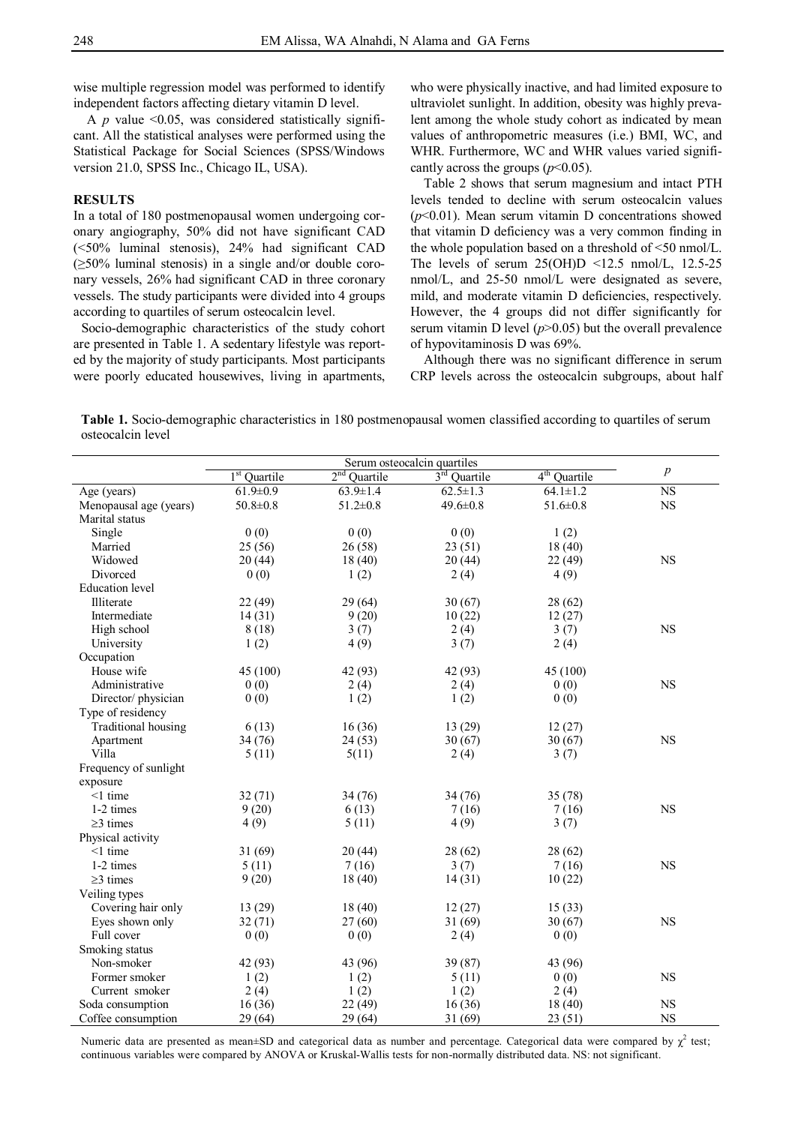wise multiple regression model was performed to identify independent factors affecting dietary vitamin D level.

A  $p$  value <0.05, was considered statistically significant. All the statistical analyses were performed using the Statistical Package for Social Sciences (SPSS/Windows version 21.0, SPSS Inc., Chicago IL, USA).

## **RESULTS**

In a total of 180 postmenopausal women undergoing coronary angiography, 50% did not have significant CAD (<50% luminal stenosis), 24% had significant CAD (≥50% luminal stenosis) in a single and/or double coronary vessels, 26% had significant CAD in three coronary vessels. The study participants were divided into 4 groups according to quartiles of serum osteocalcin level.

Socio-demographic characteristics of the study cohort are presented in Table 1. A sedentary lifestyle was reported by the majority of study participants. Most participants were poorly educated housewives, living in apartments,

who were physically inactive, and had limited exposure to ultraviolet sunlight. In addition, obesity was highly prevalent among the whole study cohort as indicated by mean values of anthropometric measures (i.e.) BMI, WC, and WHR. Furthermore, WC and WHR values varied significantly across the groups  $(p<0.05)$ .

Table 2 shows that serum magnesium and intact PTH levels tended to decline with serum osteocalcin values  $(p<0.01)$ . Mean serum vitamin D concentrations showed that vitamin D deficiency was a very common finding in the whole population based on a threshold of <50 nmol/L. The levels of serum  $25(OH)D \le 12.5 \text{ nmol/L}$ , 12.5-25 nmol/L, and 25-50 nmol/L were designated as severe, mild, and moderate vitamin D deficiencies, respectively. However, the 4 groups did not differ significantly for serum vitamin D level  $(p>0.05)$  but the overall prevalence of hypovitaminosis D was 69%.

Although there was no significant difference in serum CRP levels across the osteocalcin subgroups, about half

**Table 1.** Socio-demographic characteristics in 180 postmenopausal women classified according to quartiles of serum osteocalcin level

|                        | 1 <sup>st</sup> Quartile | $2nd$ Quartile | 3rd Quartile   | 4 <sup>th</sup> Quartile | $\boldsymbol{p}$ |
|------------------------|--------------------------|----------------|----------------|--------------------------|------------------|
| Age (years)            | $61.9 \pm 0.9$           | $63.9 \pm 1.4$ | $62.5 \pm 1.3$ | $64.1 \pm 1.2$           | <b>NS</b>        |
| Menopausal age (years) | $50.8 \pm 0.8$           | $51.2 \pm 0.8$ | $49.6 \pm 0.8$ | $51.6 \pm 0.8$           | $_{\rm NS}$      |
| Marital status         |                          |                |                |                          |                  |
| Single                 | 0(0)                     | 0(0)           | 0(0)           | 1(2)                     |                  |
| Married                | 25 (56)                  | 26(58)         | 23(51)         | 18(40)                   |                  |
| Widowed                | 20(44)                   | 18(40)         | 20(44)         | 22 (49)                  | <b>NS</b>        |
| Divorced               | 0(0)                     | 1(2)           | 2(4)           | 4(9)                     |                  |
| <b>Education</b> level |                          |                |                |                          |                  |
| Illiterate             | 22 (49)                  | 29(64)         | 30(67)         | 28 (62)                  |                  |
| Intermediate           | 14(31)                   | 9(20)          | 10(22)         | 12(27)                   |                  |
| High school            | 8(18)                    | 3(7)           | 2(4)           | 3(7)                     | <b>NS</b>        |
| University             | 1(2)                     | 4(9)           | 3(7)           | 2(4)                     |                  |
| Occupation             |                          |                |                |                          |                  |
| House wife             | 45 (100)                 | 42 (93)        | 42 (93)        | 45 (100)                 |                  |
| Administrative         | 0(0)                     | 2(4)           | 2(4)           | 0(0)                     | <b>NS</b>        |
| Director/physician     | 0(0)                     | 1(2)           | 1(2)           | 0(0)                     |                  |
| Type of residency      |                          |                |                |                          |                  |
| Traditional housing    | 6(13)                    | 16(36)         | 13(29)         | 12(27)                   |                  |
| Apartment              | 34 (76)                  | 24(53)         | 30(67)         | 30(67)                   | <b>NS</b>        |
| Villa                  | 5(11)                    | 5(11)          | 2(4)           | 3(7)                     |                  |
| Frequency of sunlight  |                          |                |                |                          |                  |
| exposure               |                          |                |                |                          |                  |
| $<1$ time              | 32(71)                   | 34 (76)        | 34 (76)        | 35 (78)                  |                  |
| 1-2 times              | 9(20)                    | 6(13)          | 7(16)          | 7(16)                    | <b>NS</b>        |
| $\geq$ 3 times         | 4(9)                     | 5(11)          | 4(9)           | 3(7)                     |                  |
| Physical activity      |                          |                |                |                          |                  |
| $\leq$ 1 time          | 31(69)                   | 20(44)         | 28(62)         | 28 (62)                  |                  |
| 1-2 times              | 5(11)                    | 7(16)          | 3(7)           | 7(16)                    | <b>NS</b>        |
| $\geq$ 3 times         | 9(20)                    | 18(40)         | 14(31)         | 10(22)                   |                  |
| Veiling types          |                          |                |                |                          |                  |
| Covering hair only     | 13 (29)                  | 18(40)         | 12(27)         | 15(33)                   |                  |
| Eyes shown only        | 32(71)                   | 27(60)         | 31(69)         | 30(67)                   | <b>NS</b>        |
| Full cover             | 0(0)                     | 0(0)           | 2(4)           | 0(0)                     |                  |
| Smoking status         |                          |                |                |                          |                  |
| Non-smoker             | 42 (93)                  | 43 (96)        | 39 (87)        | 43 (96)                  |                  |
| Former smoker          | 1(2)                     | 1(2)           | 5(11)          | 0(0)                     | <b>NS</b>        |
| Current smoker         | 2(4)                     | 1(2)           | 1(2)           | 2(4)                     |                  |
| Soda consumption       | 16(36)                   | 22(49)         | 16(36)         | 18(40)                   | <b>NS</b>        |
| Coffee consumption     | 29(64)                   | 29(64)         | 31(69)         | 23(51)                   | <b>NS</b>        |

Numeric data are presented as mean $\pm$ SD and categorical data as number and percentage. Categorical data were compared by  $\chi^2$  test; continuous variables were compared by ANOVA or Kruskal-Wallis tests for non-normally distributed data. NS: not significant.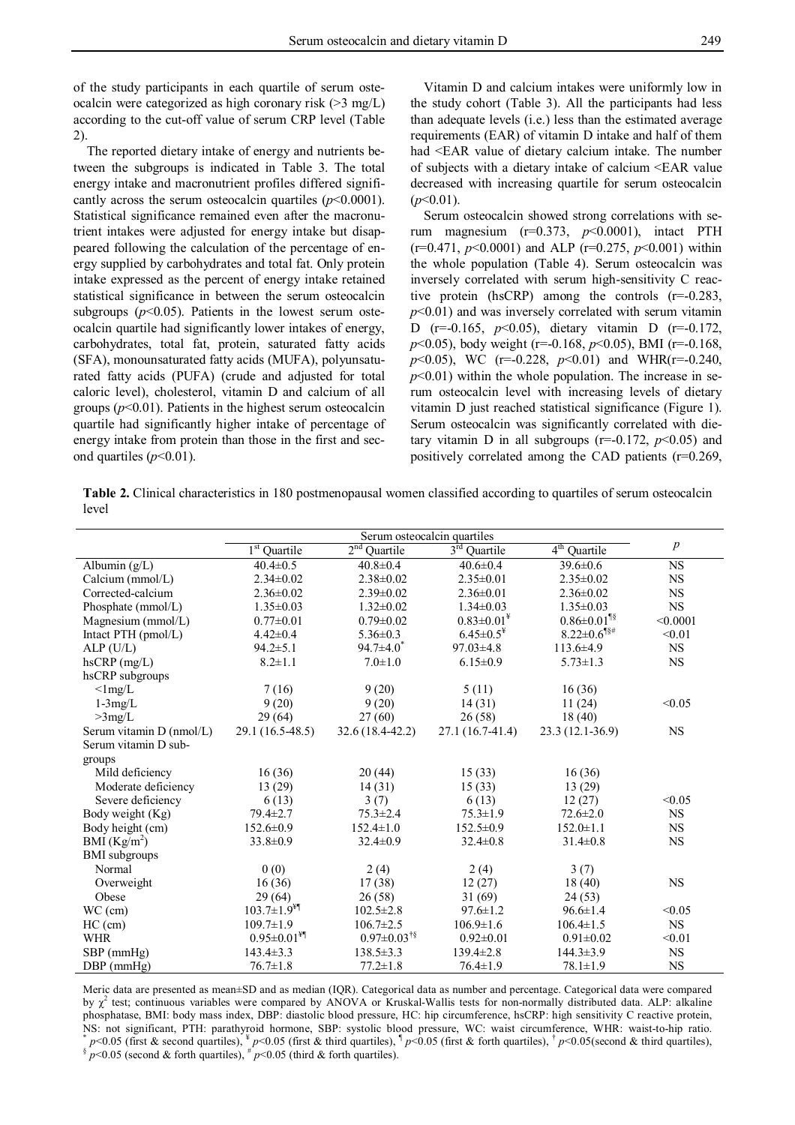of the study participants in each quartile of serum osteocalcin were categorized as high coronary risk (>3 mg/L) according to the cut-off value of serum CRP level (Table 2).

The reported dietary intake of energy and nutrients between the subgroups is indicated in Table 3. The total energy intake and macronutrient profiles differed significantly across the serum osteocalcin quartiles  $(p<0.0001)$ . Statistical significance remained even after the macronutrient intakes were adjusted for energy intake but disappeared following the calculation of the percentage of energy supplied by carbohydrates and total fat. Only protein intake expressed as the percent of energy intake retained statistical significance in between the serum osteocalcin subgroups  $(p<0.05)$ . Patients in the lowest serum osteocalcin quartile had significantly lower intakes of energy, carbohydrates, total fat, protein, saturated fatty acids (SFA), monounsaturated fatty acids (MUFA), polyunsaturated fatty acids (PUFA) (crude and adjusted for total caloric level), cholesterol, vitamin D and calcium of all groups  $(p<0.01)$ . Patients in the highest serum osteocalcin quartile had significantly higher intake of percentage of energy intake from protein than those in the first and second quartiles  $(p<0.01)$ .

Vitamin D and calcium intakes were uniformly low in the study cohort (Table 3). All the participants had less than adequate levels (i.e.) less than the estimated average requirements (EAR) of vitamin D intake and half of them had <EAR value of dietary calcium intake. The number of subjects with a dietary intake of calcium <EAR value decreased with increasing quartile for serum osteocalcin  $(p<0.01)$ .

Serum osteocalcin showed strong correlations with serum magnesium (r=0.373, *p*<0.0001), intact PTH (r=0.471, *p*<0.0001) and ALP (r=0.275, *p*<0.001) within the whole population (Table 4). Serum osteocalcin was inversely correlated with serum high-sensitivity C reactive protein (hsCRP) among the controls (r=-0.283, *p*<0.01) and was inversely correlated with serum vitamin D (r=-0.165, *p*<0.05), dietary vitamin D (r=-0.172, *p*<0.05), body weight (r=-0.168, *p*<0.05), BMI (r=-0.168, *p*<0.05), WC (r=-0.228, *p*<0.01) and WHR(r=-0.240,  $p<0.01$ ) within the whole population. The increase in serum osteocalcin level with increasing levels of dietary vitamin D just reached statistical significance (Figure 1). Serum osteocalcin was significantly correlated with dietary vitamin D in all subgroups ( $r=0.172$ ,  $p<0.05$ ) and positively correlated among the CAD patients (r=0.269,

**Table 2.** Clinical characteristics in 180 postmenopausal women classified according to quartiles of serum osteocalcin level

|                          | $1st$ Quartile                | $2nd$ Quartile                | $3rd$ Quartile               | $4th$ Quartile                | $\boldsymbol{p}$ |
|--------------------------|-------------------------------|-------------------------------|------------------------------|-------------------------------|------------------|
| Albumin $(g/L)$          | $40.4 \pm 0.5$                | $40.8 \pm 0.4$                | $40.6 \pm 0.4$               | $39.6 \pm 0.6$                | <b>NS</b>        |
| Calcium $(mmol/L)$       | $2.34 \pm 0.02$               | $2.38 \pm 0.02$               | $2.35 \pm 0.01$              | $2.35 \pm 0.02$               | <b>NS</b>        |
| Corrected-calcium        | $2.36 \pm 0.02$               | $2.39 \pm 0.02$               | $2.36 \pm 0.01$              | $2.36 \pm 0.02$               | <b>NS</b>        |
| Phosphate (mmol/L)       | $1.35 \pm 0.03$               | $1.32 \pm 0.02$               | $1.34 \pm 0.03$              | $1.35 \pm 0.03$               | <b>NS</b>        |
| Magnesium (mmol/L)       | $0.77 \pm 0.01$               | $0.79 \pm 0.02$               | $0.83 \pm 0.01^*$            | $0.86 \pm 0.01$ <sup>18</sup> | < 0.0001         |
| Intact PTH (pmol/L)      | $4.42 \pm 0.4$                | $5.36 \pm 0.3$                | $6.45 \pm 0.5^{\frac{1}{4}}$ | $8.22 \pm 0.6$ <sup>18#</sup> | < 0.01           |
| $ALP$ (U/L)              | $94.2 \pm 5.1$                | $94.7 \pm 4.0^*$              | $97.03 \pm 4.8$              | $113.6 \pm 4.9$               | <b>NS</b>        |
| $h$ s $CRP$ (mg/L)       | $8.2 \pm 1.1$                 | $7.0 \pm 1.0$                 | $6.15 \pm 0.9$               | $5.73 \pm 1.3$                | NS.              |
| hsCRP subgroups          |                               |                               |                              |                               |                  |
| $\langle$ 1mg/L          | 7(16)                         | 9(20)                         | 5(11)                        | 16(36)                        |                  |
| $1-3mg/L$                | 9(20)                         | 9(20)                         | 14(31)                       | 11(24)                        | < 0.05           |
| $>3$ mg/L                | 29(64)                        | 27(60)                        | 26(58)                       | 18(40)                        |                  |
| Serum vitamin D (nmol/L) | 29.1 (16.5-48.5)              | $32.6(18.4-42.2)$             | $27.1(16.7-41.4)$            | 23.3 (12.1-36.9)              | <b>NS</b>        |
| Serum vitamin D sub-     |                               |                               |                              |                               |                  |
| groups                   |                               |                               |                              |                               |                  |
| Mild deficiency          | 16(36)                        | 20(44)                        | 15(33)                       | 16(36)                        |                  |
| Moderate deficiency      | 13(29)                        | 14(31)                        | 15(33)                       | 13(29)                        |                  |
| Severe deficiency        | 6(13)                         | 3(7)                          | 6(13)                        | 12(27)                        | < 0.05           |
| Body weight (Kg)         | $79.4 \pm 2.7$                | $75.3 \pm 2.4$                | $75.3 \pm 1.9$               | $72.6 \pm 2.0$                | <b>NS</b>        |
| Body height (cm)         | $152.6 \pm 0.9$               | $152.4 \pm 1.0$               | $152.5 \pm 0.9$              | $152.0 \pm 1.1$               | <b>NS</b>        |
| BMI $(Kg/m^2)$           | $33.8 \pm 0.9$                | $32.4 \pm 0.9$                | $32.4 \pm 0.8$               | $31.4 \pm 0.8$                | <b>NS</b>        |
| <b>BMI</b> subgroups     |                               |                               |                              |                               |                  |
| Normal                   | 0(0)                          | 2(4)                          | 2(4)                         | 3(7)                          |                  |
| Overweight               | 16(36)                        | 17(38)                        | 12(27)                       | 18(40)                        | <b>NS</b>        |
| Obese                    | 29(64)                        | 26(58)                        | 31(69)                       | 24(53)                        |                  |
| $WC$ (cm)                | $103.7 \pm 1.9$ <sup>¥¶</sup> | $102.5 \pm 2.8$               | $97.6 \pm 1.2$               | $96.6 \pm 1.4$                | < 0.05           |
| $HC$ (cm)                | $109.7 \pm 1.9$               | $106.7 \pm 2.5$               | $106.9 \pm 1.6$              | $106.4 \pm 1.5$               | <b>NS</b>        |
| <b>WHR</b>               | $0.95 \pm 0.01$ <sup>¥¶</sup> | $0.97 \pm 0.03$ <sup>†§</sup> | $0.92 \pm 0.01$              | $0.91 \pm 0.02$               | < 0.01           |
| SBP (mmHg)               | $143.4 \pm 3.3$               | $138.5 \pm 3.3$               | $139.4 \pm 2.8$              | $144.3 \pm 3.9$               | <b>NS</b>        |
| $DBP$ (mmHg)             | $76.7 \pm 1.8$                | $77.2 \pm 1.8$                | $76.4 \pm 1.9$               | $78.1 \pm 1.9$                | <b>NS</b>        |

Meric data are presented as mean±SD and as median (IQR). Categorical data as number and percentage. Categorical data were compared by  $\chi^2$  test; continuous variables were compared by ANOVA or Kruskal-Wallis tests for non-normally distributed data. ALP: alkaline phosphatase, BMI: body mass index, DBP: diastolic blood pressure, HC: hip circumference, hsCRP: high sensitivity C reactive protein, NS: not significant, PTH: parathyroid hormone, SBP: systolic blood pressure, WC: waist circumference, WHR: waist-to-hip ratio.<br>\* p<0.05 (first & second quartiles). \* p<0.05 (first & third quartiles). \* p<0.05 (first & fort  $* p<0.05$  (first & second quartiles),  $* p<0.05$  (first & third quartiles),  $\frac{1}{p}<0.05$  (first & forth quartiles),  $\frac{1}{p}<0.05$  (second & third quartiles),  $* p<0.05$  (second & third quartiles),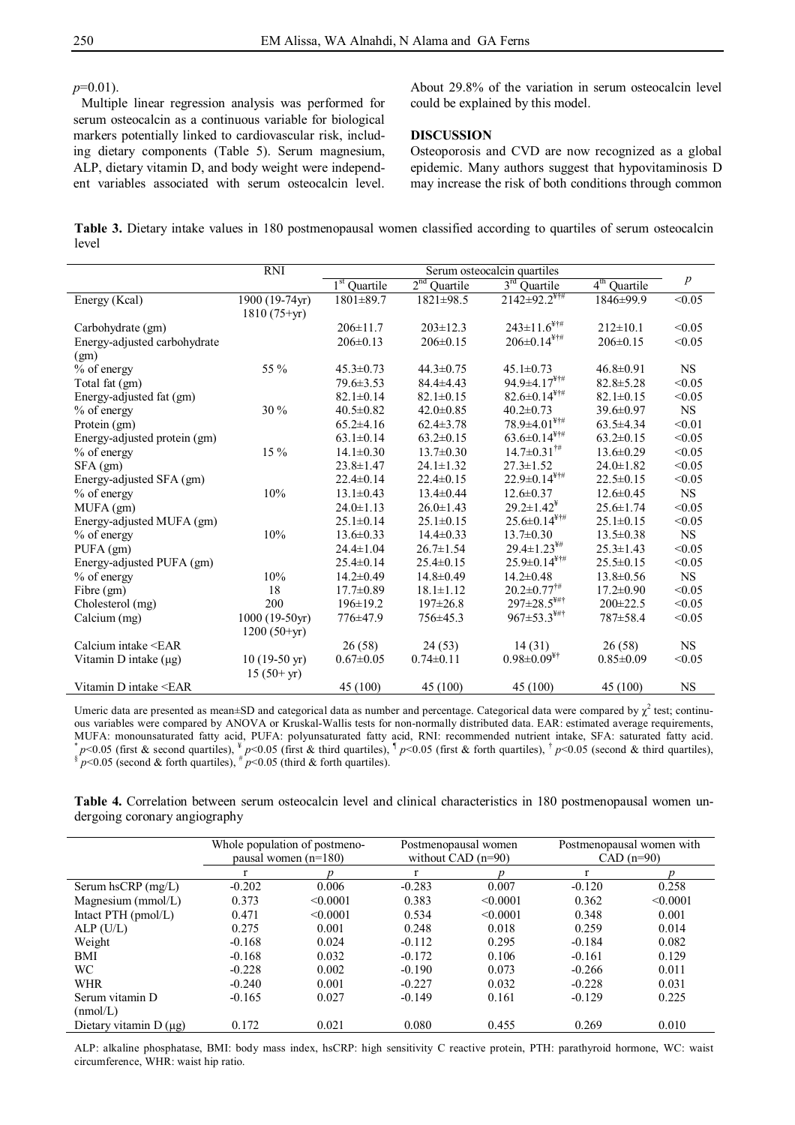*p*=0.01).

Multiple linear regression analysis was performed for serum osteocalcin as a continuous variable for biological markers potentially linked to cardiovascular risk, including dietary components (Table 5). Serum magnesium, ALP, dietary vitamin D, and body weight were independent variables associated with serum osteocalcin level.

About 29.8% of the variation in serum osteocalcin level could be explained by this model.

## **DISCUSSION**

Osteoporosis and CVD are now recognized as a global epidemic. Many authors suggest that hypovitaminosis D may increase the risk of both conditions through common

**Table 3.** Dietary intake values in 180 postmenopausal women classified according to quartiles of serum osteocalcin level

|                                                                                                                                                                   | <b>RNI</b>             | Serum osteocalcin quartiles |                 |                                           |                 |                  |  |  |
|-------------------------------------------------------------------------------------------------------------------------------------------------------------------|------------------------|-----------------------------|-----------------|-------------------------------------------|-----------------|------------------|--|--|
|                                                                                                                                                                   |                        | $1st$ Quartile              | $2nd$ Quartile  | $3rd$ Quartile                            | $4th$ Quartile  | $\boldsymbol{p}$ |  |  |
| Energy (Kcal)                                                                                                                                                     | 1900 (19-74yr)         | 1801±89.7                   | $1821 \pm 98.5$ | $2142 \pm 92.2$ <sup>***</sup>            | 1846±99.9       | $\sqrt{0.05}$    |  |  |
|                                                                                                                                                                   | $1810(75+yr)$          |                             |                 |                                           |                 |                  |  |  |
| Carbohydrate (gm)                                                                                                                                                 |                        | $206 \pm 11.7$              | $203 \pm 12.3$  | $243 \pm 11.6$ <sup>¥†#</sup>             | $212 \pm 10.1$  | < 0.05           |  |  |
| Energy-adjusted carbohydrate                                                                                                                                      |                        | $206 \pm 0.13$              | $206 \pm 0.15$  | $206 \pm 0.14$ <sup>¥†#</sup>             | $206 \pm 0.15$  | < 0.05           |  |  |
| (gm)                                                                                                                                                              |                        |                             |                 |                                           |                 |                  |  |  |
| % of energy                                                                                                                                                       | 55 %                   | $45.3 \pm 0.73$             | $44.3 \pm 0.75$ | $45.1 \pm 0.73$                           | $46.8 \pm 0.91$ | <b>NS</b>        |  |  |
| Total fat (gm)                                                                                                                                                    |                        | $79.6 \pm 3.53$             | $84.4 \pm 4.43$ | $94.9 \pm 4.17$ <sup>¥†#</sup>            | $82.8 \pm 5.28$ | < 0.05           |  |  |
| Energy-adjusted fat (gm)                                                                                                                                          |                        | $82.1 \pm 0.14$             | $82.1 \pm 0.15$ | $82.6 \pm 0.14$ <sup>¥†#</sup>            | $82.1 \pm 0.15$ | < 0.05           |  |  |
| % of energy                                                                                                                                                       | 30 %                   | $40.5 \pm 0.82$             | $42.0 \pm 0.85$ | $40.2 \pm 0.73$                           | $39.6 \pm 0.97$ | <b>NS</b>        |  |  |
| Protein (gm)                                                                                                                                                      |                        | $65.2 \pm 4.16$             | $62.4 \pm 3.78$ | $78.9 \pm 4.01$ <sup>¥†#</sup>            | $63.5 \pm 4.34$ | < 0.01           |  |  |
| Energy-adjusted protein (gm)                                                                                                                                      |                        | $63.1 \pm 0.14$             | $63.2 \pm 0.15$ | $63.6 \pm 0.14$ <sup>¥†#</sup>            | $63.2 \pm 0.15$ | < 0.05           |  |  |
| % of energy                                                                                                                                                       | $15\%$                 | $14.1 \pm 0.30$             | $13.7 \pm 0.30$ | $14.7 \pm 0.31^{\dagger\#}$               | $13.6 \pm 0.29$ | < 0.05           |  |  |
| $SFA$ (gm)                                                                                                                                                        |                        | $23.8 \pm 1.47$             | $24.1 \pm 1.32$ | $27.3 \pm 1.52$                           | $24.0 \pm 1.82$ | < 0.05           |  |  |
| Energy-adjusted SFA (gm)                                                                                                                                          |                        | $22.4 \pm 0.14$             | $22.4 \pm 0.15$ | $22.9 \pm 0.14$ <sup>¥†#</sup>            | $22.5 \pm 0.15$ | < 0.05           |  |  |
| % of energy                                                                                                                                                       | 10%                    | $13.1 \pm 0.43$             | $13.4 \pm 0.44$ | $12.6 \pm 0.37$                           | $12.6 \pm 0.45$ | <b>NS</b>        |  |  |
| $MUFA$ (gm)                                                                                                                                                       |                        | $24.0 \pm 1.13$             | $26.0 \pm 1.43$ | $29.2 \pm 1.42^{\frac{1}{2}}$             | $25.6 \pm 1.74$ | < 0.05           |  |  |
| Energy-adjusted MUFA (gm)                                                                                                                                         |                        | $25.1 \pm 0.14$             | $25.1 \pm 0.15$ | $25.6 \pm 0.14$ <sup>¥†#</sup>            | $25.1 \pm 0.15$ | < 0.05           |  |  |
| $%$ of energy                                                                                                                                                     | 10%                    | $13.6 \pm 0.33$             | $14.4 \pm 0.33$ | $13.7 \pm 0.30$                           | $13.5 \pm 0.38$ | <b>NS</b>        |  |  |
| $PUFA$ (gm)                                                                                                                                                       |                        | $24.4 \pm 1.04$             | $26.7 \pm 1.54$ | $29.4 \pm 1.23$ <sup>\{\permit 1}</sup>   | $25.3 \pm 1.43$ | < 0.05           |  |  |
| Energy-adjusted PUFA (gm)                                                                                                                                         |                        | $25.4 \pm 0.14$             | $25.4 \pm 0.15$ | $25.9 \pm 0.14$ <sup>¥†#</sup>            | $25.5 \pm 0.15$ | < 0.05           |  |  |
| % of energy                                                                                                                                                       | 10%                    | $14.2 \pm 0.49$             | $14.8 \pm 0.49$ | $14.2 \pm 0.48$                           | $13.8 \pm 0.56$ | <b>NS</b>        |  |  |
| Fibre (gm)                                                                                                                                                        | 18                     | $17.7 \pm 0.89$             | $18.1 \pm 1.12$ | $20.2 \pm 0.77^{\dagger\#}$               | $17.2 \pm 0.90$ | < 0.05           |  |  |
| Cholesterol (mg)                                                                                                                                                  | 200                    | $196 \pm 19.2$              | $197 \pm 26.8$  | $297 \pm 28.5$ <sup>¥#†</sup>             | $200 \pm 22.5$  | < 0.05           |  |  |
| Calcium (mg)                                                                                                                                                      | $1000(19-50yr)$        | 776±47.9                    | 756±45.3        | $967 \pm 53.3$ <sup>\\\pmpp\}******</sup> | 787±58.4        | < 0.05           |  |  |
|                                                                                                                                                                   | $1200(50+yr)$          |                             |                 |                                           |                 |                  |  |  |
| Calcium intake <ear< td=""><td></td><td>26(58)</td><td>24(53)</td><td>14(31)</td><td>26(58)</td><td><math display="inline">_{\rm NS}</math></td></ear<>           |                        | 26(58)                      | 24(53)          | 14(31)                                    | 26(58)          | $_{\rm NS}$      |  |  |
| Vitamin D intake $(\mu g)$                                                                                                                                        | $10(19-50 \text{ yr})$ | $0.67 \pm 0.05$             | $0.74 \pm 0.11$ | $0.98 \pm 0.09$ <sup>¥†</sup>             | $0.85 \pm 0.09$ | < 0.05           |  |  |
|                                                                                                                                                                   | $15(50+yr)$            |                             |                 |                                           |                 |                  |  |  |
| Vitamin D intake <ear< td=""><td></td><td>45 (100)</td><td>45 (100)</td><td>45 (100)</td><td>45 (100)</td><td><math display="inline">_{\rm NS}</math></td></ear<> |                        | 45 (100)                    | 45 (100)        | 45 (100)                                  | 45 (100)        | $_{\rm NS}$      |  |  |

Umeric data are presented as mean $\pm$ SD and categorical data as number and percentage. Categorical data were compared by  $\chi^2$  test; continuous variables were compared by ANOVA or Kruskal-Wallis tests for non-normally distributed data. EAR: estimated average requirements, MUFA: monounsaturated fatty acid, PUFA: polyunsaturated fatty acid, RNI: recommended nutrient intake, SFA: saturated fatty acid.<br>\*  $p$ <0.05 (first & second quartiles), \*  $p$ <0.05 (first & third quartiles), <sup>1</sup>  $p$ <0.05 (f

|                               |  |  |  |  |  | <b>Table 4.</b> Correlation between serum osteocalcin level and clinical characteristics in 180 postmenopausal women un- |  |
|-------------------------------|--|--|--|--|--|--------------------------------------------------------------------------------------------------------------------------|--|
| dergoing coronary angiography |  |  |  |  |  |                                                                                                                          |  |

|                            | Whole population of postmeno-<br>pausal women $(n=180)$ |          |          | Postmenopausal women<br>without CAD $(n=90)$ |          | Postmenopausal women with<br>$CAD(n=90)$ |  |
|----------------------------|---------------------------------------------------------|----------|----------|----------------------------------------------|----------|------------------------------------------|--|
|                            |                                                         |          |          |                                              |          |                                          |  |
| Serum hsCRP (mg/L)         | $-0.202$                                                | 0.006    | $-0.283$ | 0.007                                        | $-0.120$ | 0.258                                    |  |
| Magnesium (mmol/L)         | 0.373                                                   | < 0.0001 | 0.383    | < 0.0001                                     | 0.362    | < 0.0001                                 |  |
| Intact PTH $(pmol/L)$      | 0.471                                                   | < 0.0001 | 0.534    | < 0.0001                                     | 0.348    | 0.001                                    |  |
| $ALP$ (U/L)                | 0.275                                                   | 0.001    | 0.248    | 0.018                                        | 0.259    | 0.014                                    |  |
| Weight                     | $-0.168$                                                | 0.024    | $-0.112$ | 0.295                                        | $-0.184$ | 0.082                                    |  |
| <b>BMI</b>                 | $-0.168$                                                | 0.032    | $-0.172$ | 0.106                                        | $-0.161$ | 0.129                                    |  |
| <b>WC</b>                  | $-0.228$                                                | 0.002    | $-0.190$ | 0.073                                        | $-0.266$ | 0.011                                    |  |
| <b>WHR</b>                 | $-0.240$                                                | 0.001    | $-0.227$ | 0.032                                        | $-0.228$ | 0.031                                    |  |
| Serum vitamin D            | $-0.165$                                                | 0.027    | $-0.149$ | 0.161                                        | $-0.129$ | 0.225                                    |  |
| (mmol/L)                   |                                                         |          |          |                                              |          |                                          |  |
| Dietary vitamin $D(\mu g)$ | 0.172                                                   | 0.021    | 0.080    | 0.455                                        | 0.269    | 0.010                                    |  |

ALP: alkaline phosphatase, BMI: body mass index, hsCRP: high sensitivity C reactive protein, PTH: parathyroid hormone, WC: waist circumference, WHR: waist hip ratio.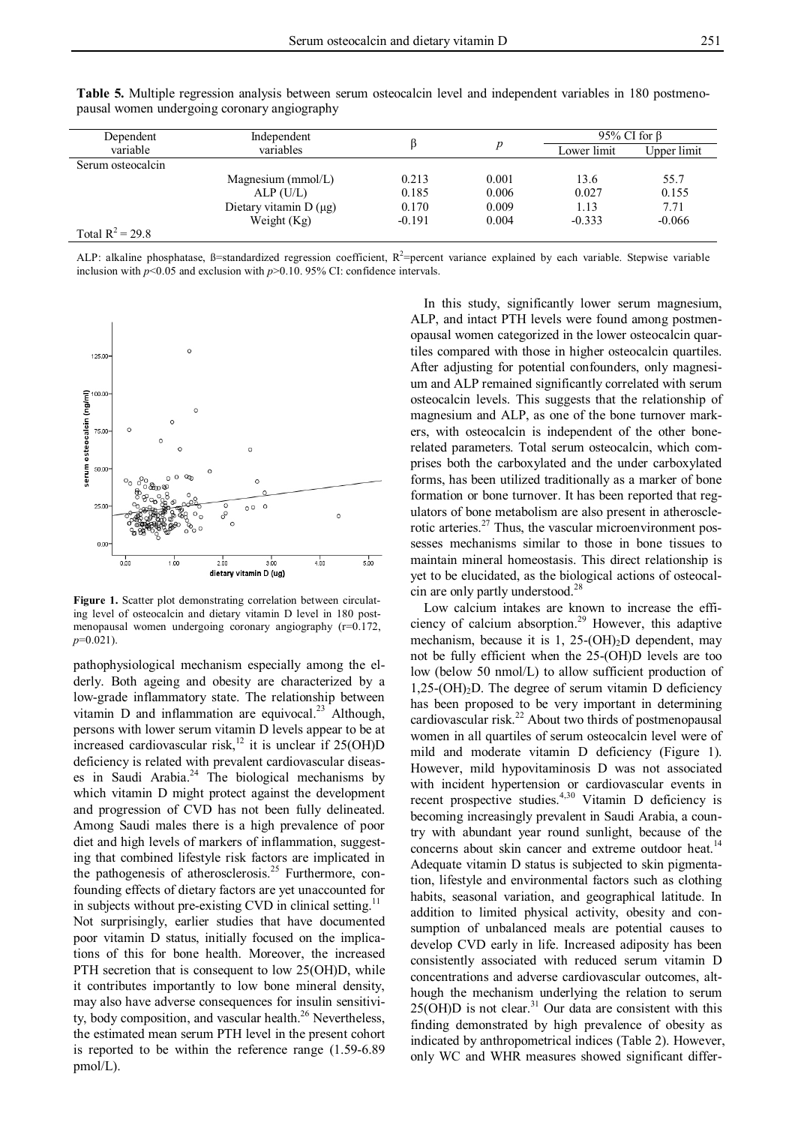| Dependent          | Independent                |          |       | 95% CI for $\beta$ |             |  |
|--------------------|----------------------------|----------|-------|--------------------|-------------|--|
| variable           | variables                  |          |       | Lower limit        | Upper limit |  |
| Serum osteocalcin  |                            |          |       |                    |             |  |
|                    | Magnesium ( $mmol/L$ )     | 0.213    | 0.001 | 13.6               | 55.7        |  |
|                    | $ALP$ (U/L)                | 0.185    | 0.006 | 0.027              | 0.155       |  |
|                    | Dietary vitamin $D(\mu g)$ | 0.170    | 0.009 | 1.13               | 7.71        |  |
|                    | Weight $(Kg)$              | $-0.191$ | 0.004 | $-0.333$           | $-0.066$    |  |
| Total $R^2 = 29.8$ |                            |          |       |                    |             |  |

**Table 5.** Multiple regression analysis between serum osteocalcin level and independent variables in 180 postmenopausal women undergoing coronary angiography

ALP: alkaline phosphatase,  $\beta$ =standardized regression coefficient,  $R^2$ =percent variance explained by each variable. Stepwise variable inclusion with  $p<0.05$  and exclusion with  $p>0.10$ . 95% CI: confidence intervals.



**Figure 1.** Scatter plot demonstrating correlation between circulating level of osteocalcin and dietary vitamin D level in 180 postmenopausal women undergoing coronary angiography (r=0.172, *p*=0.021).

pathophysiological mechanism especially among the elderly. Both ageing and obesity are characterized by a low-grade inflammatory state. The relationship between vitamin D and inflammation are equivocal.<sup>23</sup> Although, persons with lower serum vitamin D levels appear to be at increased cardiovascular risk,<sup>12</sup> it is unclear if  $25(OH)D$ deficiency is related with prevalent cardiovascular diseases in Saudi Arabia. <sup>24</sup> The biological mechanisms by which vitamin D might protect against the development and progression of CVD has not been fully delineated. Among Saudi males there is a high prevalence of poor diet and high levels of markers of inflammation, suggesting that combined lifestyle risk factors are implicated in the pathogenesis of atherosclerosis.<sup>25</sup> Furthermore, confounding effects of dietary factors are yet unaccounted for in subjects without pre-existing CVD in clinical setting.<sup>11</sup> Not surprisingly, earlier studies that have documented poor vitamin D status, initially focused on the implications of this for bone health. Moreover, the increased PTH secretion that is consequent to low 25(OH)D, while it contributes importantly to low bone mineral density, may also have adverse consequences for insulin sensitivity, body composition, and vascular health.<sup>26</sup> Nevertheless, the estimated mean serum PTH level in the present cohort is reported to be within the reference range (1.59-6.89 pmol/L).

In this study, significantly lower serum magnesium, ALP, and intact PTH levels were found among postmenopausal women categorized in the lower osteocalcin quartiles compared with those in higher osteocalcin quartiles. After adjusting for potential confounders, only magnesium and ALP remained significantly correlated with serum osteocalcin levels. This suggests that the relationship of magnesium and ALP, as one of the bone turnover markers, with osteocalcin is independent of the other bonerelated parameters. Total serum osteocalcin, which comprises both the carboxylated and the under carboxylated forms, has been utilized traditionally as a marker of bone formation or bone turnover. It has been reported that regulators of bone metabolism are also present in atherosclerotic arteries.<sup>27</sup> Thus, the vascular microenvironment possesses mechanisms similar to those in bone tissues to maintain mineral homeostasis. This direct relationship is yet to be elucidated, as the biological actions of osteocalcin are only partly understood. 28

Low calcium intakes are known to increase the efficiency of calcium absorption. <sup>29</sup> However, this adaptive mechanism, because it is 1, 25- $(OH)_2D$  dependent, may not be fully efficient when the 25-(OH)D levels are too low (below 50 nmol/L) to allow sufficient production of  $1,25\text{-}(OH)<sub>2</sub>$ D. The degree of serum vitamin D deficiency has been proposed to be very important in determining cardiovascular risk.<sup>22</sup> About two thirds of postmenopausal women in all quartiles of serum osteocalcin level were of mild and moderate vitamin D deficiency (Figure 1). However, mild hypovitaminosis D was not associated with incident hypertension or cardiovascular events in recent prospective studies.<sup>4,30</sup> Vitamin D deficiency is becoming increasingly prevalent in Saudi Arabia, a country with abundant year round sunlight, because of the concerns about skin cancer and extreme outdoor heat.<sup>14</sup> Adequate vitamin D status is subjected to skin pigmentation, lifestyle and environmental factors such as clothing habits, seasonal variation, and geographical latitude. In addition to limited physical activity, obesity and consumption of unbalanced meals are potential causes to develop CVD early in life. Increased adiposity has been consistently associated with reduced serum vitamin D concentrations and adverse cardiovascular outcomes, although the mechanism underlying the relation to serum  $25(OH)D$  is not clear.<sup>31</sup> Our data are consistent with this finding demonstrated by high prevalence of obesity as indicated by anthropometrical indices (Table 2). However, only WC and WHR measures showed significant differ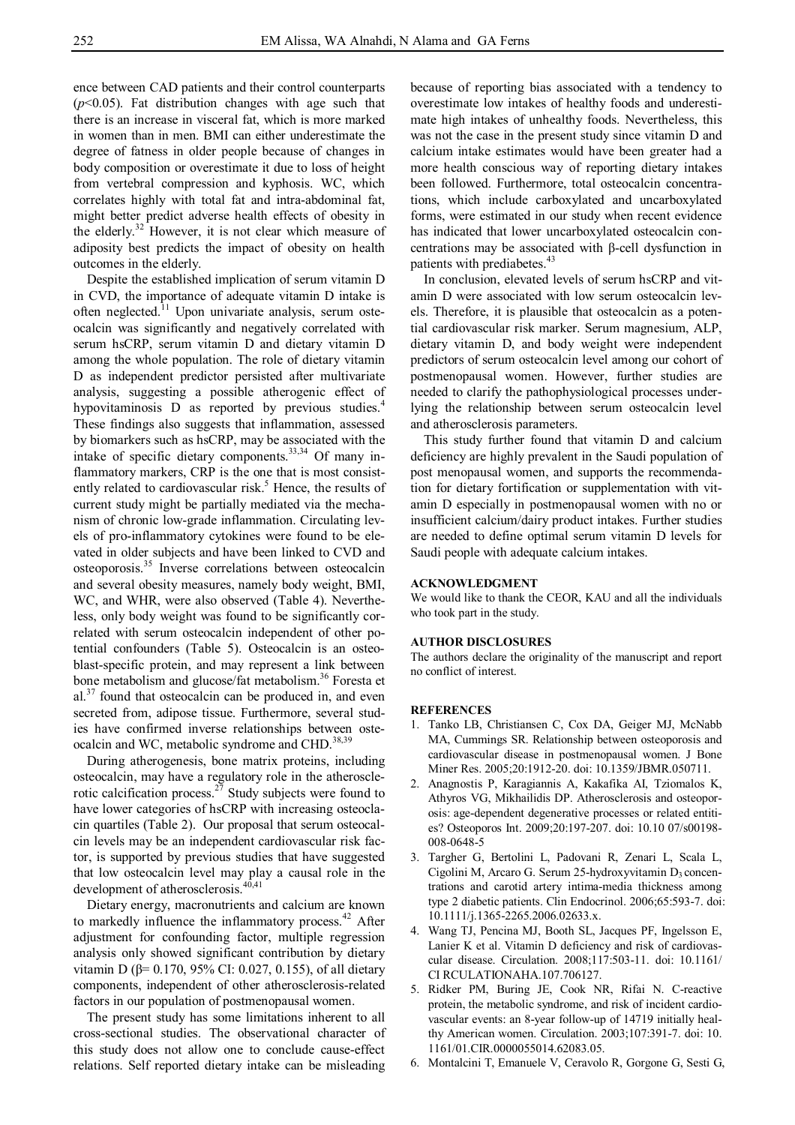ence between CAD patients and their control counterparts (*p*<0.05). Fat distribution changes with age such that there is an increase in visceral fat, which is more marked in women than in men. BMI can either underestimate the degree of fatness in older people because of changes in body composition or overestimate it due to loss of height from vertebral compression and kyphosis. WC, which correlates highly with total fat and intra-abdominal fat, might better predict adverse health effects of obesity in the elderly.<sup>32</sup> However, it is not clear which measure of adiposity best predicts the impact of obesity on health outcomes in the elderly.

Despite the established implication of serum vitamin D in CVD, the importance of adequate vitamin D intake is often neglected.<sup>11</sup> Upon univariate analysis, serum osteocalcin was significantly and negatively correlated with serum hsCRP, serum vitamin D and dietary vitamin D among the whole population. The role of dietary vitamin D as independent predictor persisted after multivariate analysis, suggesting a possible atherogenic effect of hypovitaminosis D as reported by previous studies.<sup>4</sup> These findings also suggests that inflammation, assessed by biomarkers such as hsCRP, may be associated with the intake of specific dietary components.<sup>33,34</sup> Of many inflammatory markers, CRP is the one that is most consistently related to cardiovascular risk.<sup>5</sup> Hence, the results of current study might be partially mediated via the mechanism of chronic low-grade inflammation. Circulating levels of pro-inflammatory cytokines were found to be elevated in older subjects and have been linked to CVD and osteoporosis. 35 Inverse correlations between osteocalcin and several obesity measures, namely body weight, BMI, WC, and WHR, were also observed (Table 4). Nevertheless, only body weight was found to be significantly correlated with serum osteocalcin independent of other potential confounders (Table 5). Osteocalcin is an osteoblast-specific protein, and may represent a link between bone metabolism and glucose/fat metabolism.<sup>36</sup> Foresta et al. $37$  found that osteocalcin can be produced in, and even secreted from, adipose tissue. Furthermore, several studies have confirmed inverse relationships between osteocalcin and WC, metabolic syndrome and CHD.<sup>38,39</sup>

During atherogenesis, bone matrix proteins, including osteocalcin, may have a regulatory role in the atherosclerotic calcification process.<sup>27</sup> Study subjects were found to have lower categories of hsCRP with increasing osteoclacin quartiles (Table 2). Our proposal that serum osteocalcin levels may be an independent cardiovascular risk factor, is supported by previous studies that have suggested that low osteocalcin level may play a causal role in the development of atherosclerosis. 40,41

Dietary energy, macronutrients and calcium are known to markedly influence the inflammatory process.<sup>42</sup> After adjustment for confounding factor, multiple regression analysis only showed significant contribution by dietary vitamin D (β= 0.170, 95% CI: 0.027, 0.155), of all dietary components, independent of other atherosclerosis-related factors in our population of postmenopausal women.

The present study has some limitations inherent to all cross-sectional studies. The observational character of this study does not allow one to conclude cause-effect relations. Self reported dietary intake can be misleading

because of reporting bias associated with a tendency to overestimate low intakes of healthy foods and underestimate high intakes of unhealthy foods. Nevertheless, this was not the case in the present study since vitamin D and calcium intake estimates would have been greater had a more health conscious way of reporting dietary intakes been followed. Furthermore, total osteocalcin concentrations, which include carboxylated and uncarboxylated forms, were estimated in our study when recent evidence has indicated that lower uncarboxylated osteocalcin concentrations may be associated with β-cell dysfunction in patients with prediabetes.<sup>43</sup>

In conclusion, elevated levels of serum hsCRP and vitamin D were associated with low serum osteocalcin levels. Therefore, it is plausible that osteocalcin as a potential cardiovascular risk marker. Serum magnesium, ALP, dietary vitamin D, and body weight were independent predictors of serum osteocalcin level among our cohort of postmenopausal women. However, further studies are needed to clarify the pathophysiological processes underlying the relationship between serum osteocalcin level and atherosclerosis parameters.

This study further found that vitamin D and calcium deficiency are highly prevalent in the Saudi population of post menopausal women, and supports the recommendation for dietary fortification or supplementation with vitamin D especially in postmenopausal women with no or insufficient calcium/dairy product intakes. Further studies are needed to define optimal serum vitamin D levels for Saudi people with adequate calcium intakes.

#### **ACKNOWLEDGMENT**

We would like to thank the CEOR, KAU and all the individuals who took part in the study.

### **AUTHOR DISCLOSURES**

The authors declare the originality of the manuscript and report no conflict of interest.

### **REFERENCES**

- 1. Tanko LB, Christiansen C, Cox DA, Geiger MJ, McNabb MA, Cummings SR. Relationship between osteoporosis and cardiovascular disease in postmenopausal women. J Bone Miner Res. 2005;20:1912-20. doi: 10.1359/JBMR.050711.
- 2. Anagnostis P, Karagiannis A, Kakafika AI, Tziomalos K, Athyros VG, Mikhailidis DP. Atherosclerosis and osteoporosis: age-dependent degenerative processes or related entities? Osteoporos Int. 2009;20:197-207. doi: 10.10 07/s00198- 008-0648-5
- 3. Targher G, Bertolini L, Padovani R, Zenari L, Scala L, Cigolini M, Arcaro G. Serum 25-hydroxyvitamin  $D_3$  concentrations and carotid artery intima-media thickness among type 2 diabetic patients. Clin Endocrinol. 2006;65:593-7. doi: 10.1111/j.1365-2265.2006.02633.x.
- 4. Wang TJ, Pencina MJ, Booth SL, Jacques PF, Ingelsson E, Lanier K et al. Vitamin D deficiency and risk of cardiovascular disease. Circulation. 2008;117:503-11. doi: 10.1161/ CI RCULATIONAHA.107.706127.
- 5. Ridker PM, Buring JE, Cook NR, Rifai N. C-reactive protein, the metabolic syndrome, and risk of incident cardiovascular events: an 8-year follow-up of 14719 initially healthy American women. Circulation. 2003;107:391-7. doi: 10. 1161/01.CIR.0000055014.62083.05.
- 6. Montalcini T, Emanuele V, Ceravolo R, Gorgone G, Sesti G,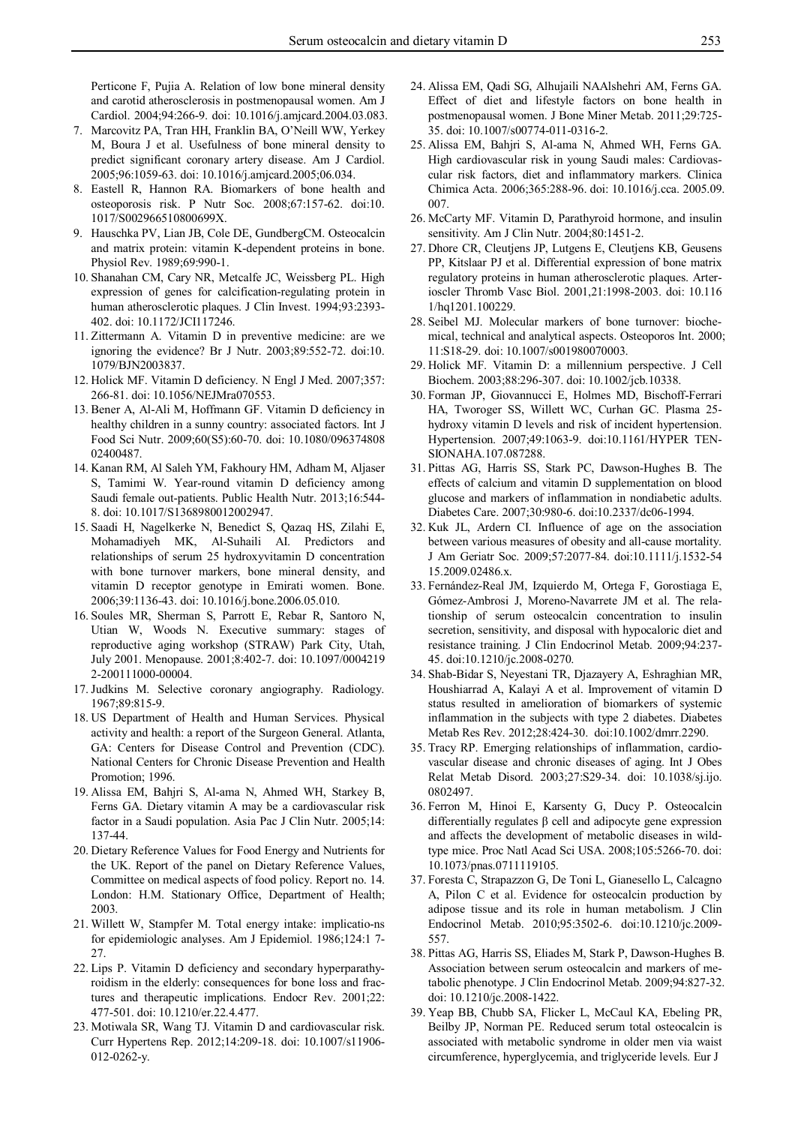Perticone F, Pujia A. Relation of low bone mineral density and carotid atherosclerosis in postmenopausal women. Am J Cardiol. 2004;94:266-9. doi: 10.1016/j.amjcard.2004.03.083.

- 7. Marcovitz PA, Tran HH, Franklin BA, O'Neill WW, Yerkey M, Boura J et al. Usefulness of bone mineral density to predict significant coronary artery disease. Am J Cardiol. 2005;96:1059-63. doi: 10.1016/j.amjcard.2005;06.034.
- 8. Eastell R, Hannon RA. Biomarkers of bone health and osteoporosis risk. P Nutr Soc. 2008;67:157-62. doi:10. 1017/S002966510800699X.
- 9. Hauschka PV, Lian JB, Cole DE, GundbergCM. Osteocalcin and matrix protein: vitamin K-dependent proteins in bone. Physiol Rev. 1989;69:990-1.
- 10. Shanahan CM, Cary NR, Metcalfe JC, Weissberg PL. High expression of genes for calcification-regulating protein in human atherosclerotic plaques. J Clin Invest. 1994;93:2393- 402. doi: 10.1172/JCI117246.
- 11. Zittermann A. Vitamin D in preventive medicine: are we ignoring the evidence? Br J Nutr. 2003;89:552-72. doi:10. 1079/BJN2003837.
- 12. Holick MF. Vitamin D deficiency. N Engl J Med. 2007;357: 266-81. doi: 10.1056/NEJMra070553.
- 13. Bener A, Al-Ali M, Hoffmann GF. Vitamin D deficiency in healthy children in a sunny country: associated factors. Int J Food Sci Nutr. 2009;60(S5):60-70. doi: 10.1080/096374808 02400487.
- 14. Kanan RM, Al Saleh YM, Fakhoury HM, Adham M, Aljaser S, Tamimi W. Year-round vitamin D deficiency among Saudi female out-patients. Public Health Nutr. 2013;16:544- 8. doi: 10.1017/S1368980012002947.
- 15. Saadi H, Nagelkerke N, Benedict S, Qazaq HS, Zilahi E, Mohamadiyeh MK, Al-Suhaili AI. Predictors and relationships of serum 25 hydroxyvitamin D concentration with bone turnover markers, bone mineral density, and vitamin D receptor genotype in Emirati women. Bone. 2006;39:1136-43. doi: 10.1016/j.bone.2006.05.010.
- 16. Soules MR, Sherman S, Parrott E, Rebar R, Santoro N, Utian W, Woods N. Executive summary: stages of reproductive aging workshop (STRAW) Park City, Utah, July 2001. Menopause. 2001;8:402-7. doi: 10.1097/0004219 2-200111000-00004.
- 17. Judkins M. Selective coronary angiography. Radiology. 1967;89:815-9.
- 18. US Department of Health and Human Services. Physical activity and health: a report of the Surgeon General. Atlanta, GA: Centers for Disease Control and Prevention (CDC). National Centers for Chronic Disease Prevention and Health Promotion; 1996.
- 19. Alissa EM, Bahjri S, Al-ama N, Ahmed WH, Starkey B, Ferns GA. Dietary vitamin A may be a cardiovascular risk factor in a Saudi population. Asia Pac J Clin Nutr. 2005;14: 137-44.
- 20. Dietary Reference Values for Food Energy and Nutrients for the UK. Report of the panel on Dietary Reference Values, Committee on medical aspects of food policy. Report no. 14. London: H.M. Stationary Office, Department of Health; 2003.
- 21. Willett W, Stampfer M. Total energy intake: implicatio-ns for epidemiologic analyses. Am J Epidemiol. 1986;124:1 7- 27.
- 22. Lips P. Vitamin D deficiency and secondary hyperparathyroidism in the elderly: consequences for bone loss and fractures and therapeutic implications. Endocr Rev. 2001;22: 477-501. doi: 10.1210/er.22.4.477.
- 23. Motiwala SR, Wang TJ. Vitamin D and cardiovascular risk. Curr Hypertens Rep. 2012;14:209-18. doi: 10.1007/s11906- 012-0262-y.
- 24. Alissa EM, Qadi SG, Alhujaili NAAlshehri AM, Ferns GA. Effect of diet and lifestyle factors on bone health in postmenopausal women. J Bone Miner Metab. 2011;29:725- 35. doi: 10.1007/s00774-011-0316-2.
- 25. Alissa EM, Bahjri S, Al-ama N, Ahmed WH, Ferns GA. High cardiovascular risk in young Saudi males: Cardiovascular risk factors, diet and inflammatory markers. Clinica Chimica Acta. 2006;365:288-96. doi: 10.1016/j.cca. 2005.09. 007.
- 26. McCarty MF. Vitamin D, Parathyroid hormone, and insulin sensitivity. Am J Clin Nutr. 2004;80:1451-2.
- 27. Dhore CR, Cleutjens JP, Lutgens E, Cleutjens KB, Geusens PP, Kitslaar PJ et al. Differential expression of bone matrix regulatory proteins in human atherosclerotic plaques. Arterioscler Thromb Vasc Biol. 2001,21:1998-2003. doi: 10.116 1/hq1201.100229.
- 28. Seibel MJ. Molecular markers of bone turnover: biochemical, technical and analytical aspects. Osteoporos Int. 2000; 11:S18-29. doi: 10.1007/s001980070003.
- 29. Holick MF. Vitamin D: a millennium perspective. J Cell Biochem. 2003;88:296-307. doi: 10.1002/jcb.10338.
- 30. Forman JP, Giovannucci E, Holmes MD, Bischoff-Ferrari HA, Tworoger SS, Willett WC, Curhan GC. Plasma 25 hydroxy vitamin D levels and risk of incident hypertension. Hypertension. 2007;49:1063-9. doi:10.1161/HYPER TEN-SIONAHA.107.087288.
- 31. Pittas AG, Harris SS, Stark PC, Dawson-Hughes B. The effects of calcium and vitamin D supplementation on blood glucose and markers of inflammation in nondiabetic adults. Diabetes Care. 2007;30:980-6. doi:10.2337/dc06-1994.
- 32. Kuk JL, Ardern CI. Influence of age on the association between various measures of obesity and all-cause mortality. J Am Geriatr Soc. 2009;57:2077-84. doi:10.1111/j.1532-54 15.2009.02486.x.
- 33. Fernández-Real JM, Izquierdo M, Ortega F, Gorostiaga E, Gómez-Ambrosi J, Moreno-Navarrete JM et al. The relationship of serum osteocalcin concentration to insulin secretion, sensitivity, and disposal with hypocaloric diet and resistance training. J Clin Endocrinol Metab. 2009;94:237- 45. doi:10.1210/jc.2008-0270.
- 34. Shab-Bidar S, Neyestani TR, Djazayery A, Eshraghian MR, Houshiarrad A, Kalayi A et al. Improvement of vitamin D status resulted in amelioration of biomarkers of systemic inflammation in the subjects with type 2 diabetes. Diabetes Metab Res Rev. 2012;28:424-30. doi:10.1002/dmrr.2290.
- 35. Tracy RP. Emerging relationships of inflammation, cardiovascular disease and chronic diseases of aging. Int J Obes Relat Metab Disord. 2003;27:S29-34. doi: 10.1038/sj.ijo. 0802497.
- 36. Ferron M, Hinoi E, Karsenty G, Ducy P. Osteocalcin differentially regulates β cell and adipocyte gene expression and affects the development of metabolic diseases in wildtype mice. Proc Natl Acad Sci USA. 2008;105:5266-70. doi: 10.1073/pnas.0711119105.
- 37. Foresta C, Strapazzon G, De Toni L, Gianesello L, Calcagno A, Pilon C et al. Evidence for osteocalcin production by adipose tissue and its role in human metabolism. J Clin Endocrinol Metab. 2010;95:3502-6. doi:10.1210/jc.2009- 557.
- 38. Pittas AG, Harris SS, Eliades M, Stark P, Dawson-Hughes B. Association between serum osteocalcin and markers of metabolic phenotype. J Clin Endocrinol Metab. 2009;94:827-32. doi: 10.1210/jc.2008-1422.
- 39. Yeap BB, Chubb SA, Flicker L, McCaul KA, Ebeling PR, Beilby JP, Norman PE. Reduced serum total osteocalcin is associated with metabolic syndrome in older men via waist circumference, hyperglycemia, and triglyceride levels. Eur J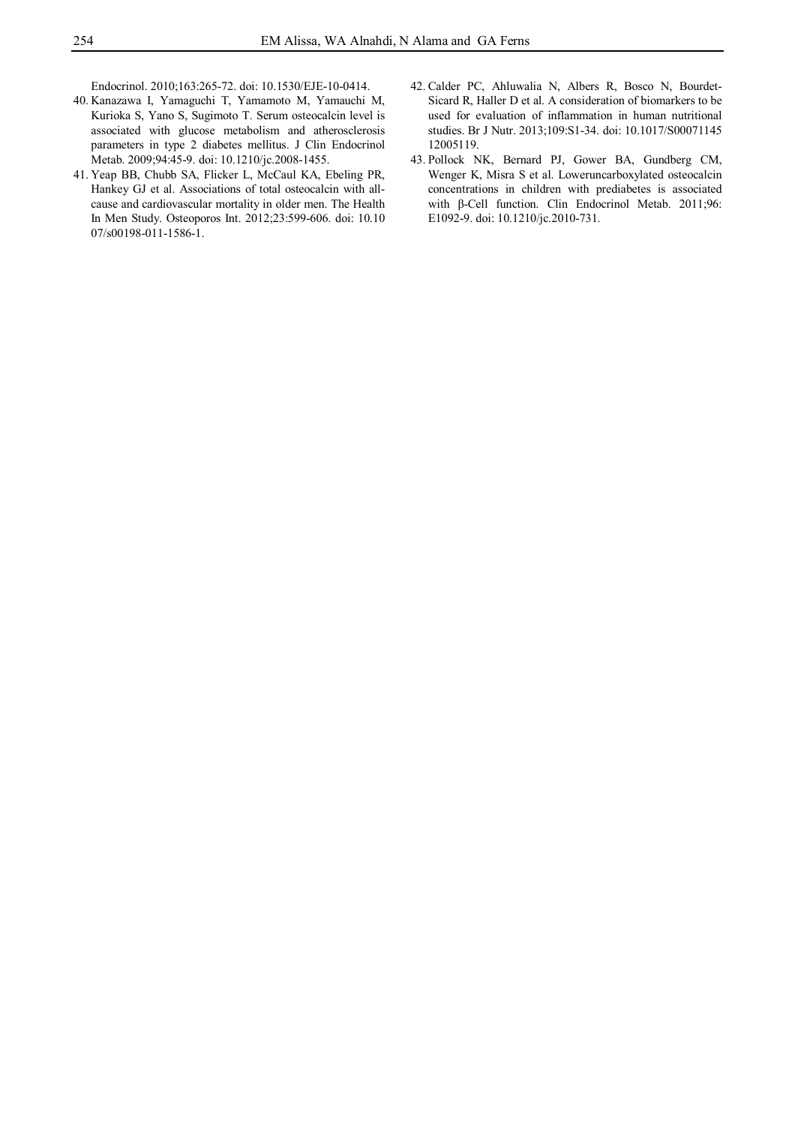Endocrinol. 2010;163:265-72. doi: 10.1530/EJE-10-0414.

- 40. Kanazawa I, Yamaguchi T, Yamamoto M, Yamauchi M, Kurioka S, Yano S, Sugimoto T. Serum osteocalcin level is associated with glucose metabolism and atherosclerosis parameters in type 2 diabetes mellitus. J Clin Endocrinol Metab. 2009;94:45-9. doi: 10.1210/jc.2008-1455.
- 41. Yeap BB, Chubb SA, Flicker L, McCaul KA, Ebeling PR, Hankey GJ et al. Associations of total osteocalcin with allcause and cardiovascular mortality in older men. The Health In Men Study. Osteoporos Int. 2012;23:599-606. doi: 10.10 07/s00198-011-1586-1.
- 42. Calder PC, Ahluwalia N, Albers R, Bosco N, Bourdet-Sicard R, Haller D et al. A consideration of biomarkers to be used for evaluation of inflammation in human nutritional studies. Br J Nutr. 2013;109:S1-34. doi: 10.1017/S00071145 12005119.
- 43. Pollock NK, Bernard PJ, Gower BA, Gundberg CM, Wenger K, Misra S et al. Loweruncarboxylated osteocalcin concentrations in children with prediabetes is associated with β-Cell function. Clin Endocrinol Metab. 2011;96: E1092-9. doi: 10.1210/jc.2010-731.